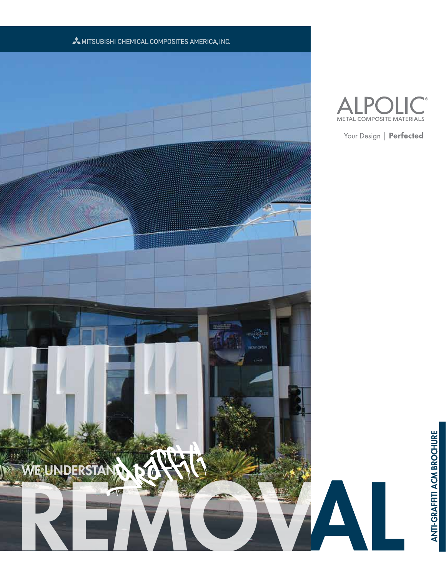



Your Design | Perfected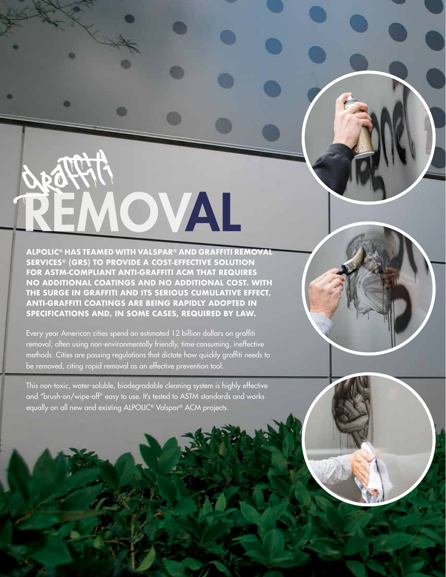**ALPOLIC® HAS TEAMED WITH VALSPAR® AND GRAFFITI REMOVAL SERVICES® (GRS) TO PROVIDE A COST-EFFECTIVE SOLUTION FOR ASTM-COMPLIANT ANTI-GRAFFITI ACM THAT REQUIRES NO ADDITIONAL COATINGS AND NO ADDITIONAL COST. WITH THE SURGE IN GRAFFITI AND ITS SERIOUS CUMULATIVE EFFECT, ANTI-GRAFFITI COATINGS ARE BEING RAPIDLY ADOPTED IN SPECIFICATIONS AND, IN SOME CASES, REQUIRED BY LAW.** 

REMOV AL

graffiti

۰

o

Every year American cities spend an estimated 12 billion dollars on graffiti removal, often using non-environmentally friendly, time-consuming, ineffective methods. Cities are passing regulations that dictate how quickly graffiti needs to be removed, citing rapid removal as an effective prevention tool.

This non-toxic, water-soluble, biodegradable cleaning system is highly effective and "brush-on/wipe-off" easy to use. It's tested to ASTM standards and works equally on all new and existing ALPOLIC® Valspar® ACM projects.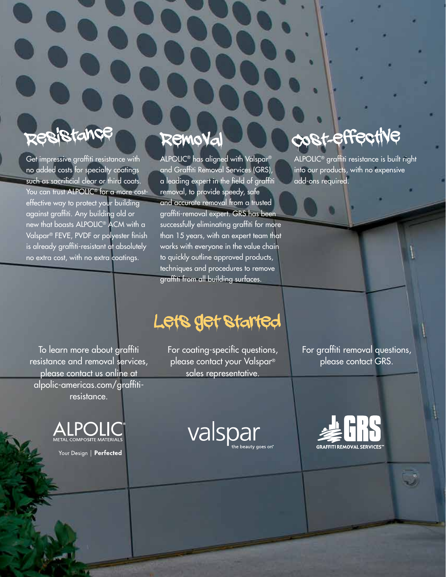## tance

Get impressive graffiti resistance with no added costs for specialty coatings such as sacrificial clear or third coats. You can trust ALPOLIC<sup>®</sup> for a more costeffective way to protect your building against graffiti. Any building old or new that boasts ALPOLIC® ACM with a Valspar® FEVE, PVDF or polyester finish is already graffiti-resistant at absolutely no extra cost, with no extra coatings.

### Removal

ALPOLIC® has aligned with Valspar® and Graffiti Removal Services (GRS), a leading expert in the field of graffiti removal, to provide speedy, safe and accurate removal from a trusted graffiti-removal expert. GRS has been successfully eliminating graffiti for more than 15 years, with an expert team that works with everyone in the value chain to quickly outline approved products, techniques and procedures to remove graffiti from all building surfaces.

# cost-effect

ALPOLIC® graffiti resistance is built right into our products, with no expensive add-ons required.

To learn more about graffiti resistance and removal services, please contact us online at alpolic-americas.com/graffitiresistance.



Your Design | Perfected

# Lets get started

For coating-specific questions, please contact your Valspar® sales representative.

For graffiti removal questions, please contact GRS.